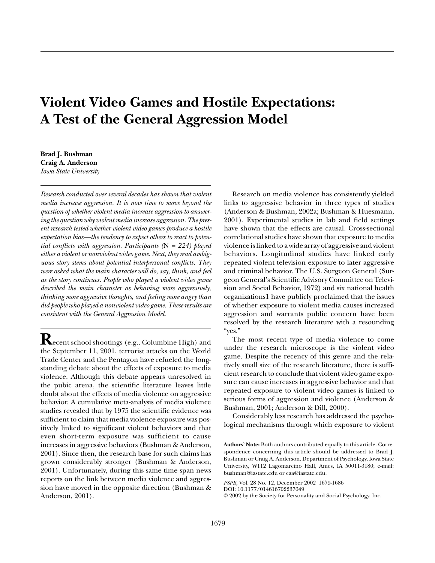# **Violent Video Games and Hostile Expectations: A Test of the General Aggression Model**

**Brad J. Bushman Craig A. Anderson** *Iowa State University*

Bushman, Anderson / VIOLENT GAMES AND HOSTILITY

*Research conducted over several decades has shown that violent media increase aggression. It is now time to move beyond the question of whether violent media increase aggression to answering the question why violent media increase aggression. The present research tested whether violent video games produce a hostile expectation bias—the tendency to expect others to react to potential conflicts with aggression. Participants (*N *= 224) played either a violent or nonviolent video game. Next, they read ambiguous story stems about potential interpersonal conflicts. They were asked what the main character will do, say, think, and feel as the story continues. People who played a violent video game described the main character as behaving more aggressively, thinking more aggressive thoughts, and feeling more angry than did people who played a nonviolent video game. These results are consistent with the General Aggression Model.*

**R**ecent school shootings (e.g., Columbine High) and the September 11, 2001, terrorist attacks on the World Trade Center and the Pentagon have refueled the longstanding debate about the effects of exposure to media violence. Although this debate appears unresolved in the pubic arena, the scientific literature leaves little doubt about the effects of media violence on aggressive behavior. A cumulative meta-analysis of media violence studies revealed that by 1975 the scientific evidence was sufficient to claim that media violence exposure was positively linked to significant violent behaviors and that even short-term exposure was sufficient to cause increases in aggressive behaviors (Bushman & Anderson, 2001). Since then, the research base for such claims has grown considerably stronger (Bushman & Anderson, 2001). Unfortunately, during this same time span news reports on the link between media violence and aggression have moved in the opposite direction (Bushman & Anderson, 2001).

Research on media violence has consistently yielded links to aggressive behavior in three types of studies (Anderson & Bushman, 2002a; Bushman & Huesmann, 2001). Experimental studies in lab and field settings have shown that the effects are causal. Cross-sectional correlational studies have shown that exposure to media violence is linked to a wide array of aggressive and violent behaviors. Longitudinal studies have linked early repeated violent television exposure to later aggressive and criminal behavior. The U.S. Surgeon General (Surgeon General's Scientific Advisory Committee on Television and Social Behavior, 1972) and six national health organizations1 have publicly proclaimed that the issues of whether exposure to violent media causes increased aggression and warrants public concern have been resolved by the research literature with a resounding "yes."

The most recent type of media violence to come under the research microscope is the violent video game. Despite the recency of this genre and the relatively small size of the research literature, there is sufficient research to conclude that violent video game exposure can cause increases in aggressive behavior and that repeated exposure to violent video games is linked to serious forms of aggression and violence (Anderson & Bushman, 2001; Anderson & Dill, 2000).

Considerably less research has addressed the psychological mechanisms through which exposure to violent

**Authors' Note:** Both authors contributed equally to this article. Correspondence concerning this article should be addressed to Brad J. Bushman or Craig A. Anderson, Department of Psychology, Iowa State University, W112 Lagomarcino Hall, Ames, IA 50011-3180; e-mail: bushman@iastate.edu or caa@iastate.edu.

*PSPB,* Vol. 28 No. 12, December 2002 1679-1686

DOI: 10.1177/014616702237649

<sup>© 2002</sup> by the Society for Personality and Social Psychology, Inc.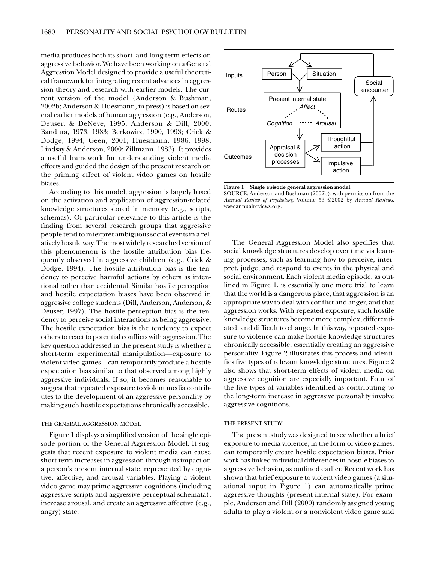media produces both its short- and long-term effects on aggressive behavior. We have been working on a General Aggression Model designed to provide a useful theoretical framework for integrating recent advances in aggression theory and research with earlier models. The current version of the model (Anderson & Bushman, 2002b; Anderson & Huesmann, in press) is based on several earlier models of human aggression (e.g., Anderson, Deuser, & DeNeve, 1995; Anderson & Dill, 2000; Bandura, 1973, 1983; Berkowitz, 1990, 1993; Crick & Dodge, 1994; Geen, 2001; Huesmann, 1986, 1998; Lindsay & Anderson, 2000; Zillmann, 1983). It provides a useful framework for understanding violent media effects and guided the design of the present research on the priming effect of violent video games on hostile biases.

According to this model, aggression is largely based on the activation and application of aggression-related knowledge structures stored in memory (e.g., scripts, schemas). Of particular relevance to this article is the finding from several research groups that aggressive people tend to interpret ambiguous social events in a relatively hostile way. The most widely researched version of this phenomenon is the hostile attribution bias frequently observed in aggressive children (e.g., Crick & Dodge, 1994). The hostile attribution bias is the tendency to perceive harmful actions by others as intentional rather than accidental. Similar hostile perception and hostile expectation biases have been observed in aggressive college students (Dill, Anderson, Anderson, & Deuser, 1997). The hostile perception bias is the tendency to perceive social interactions as being aggressive. The hostile expectation bias is the tendency to expect others to react to potential conflicts with aggression. The key question addressed in the present study is whether a short-term experimental manipulation—exposure to violent video games—can temporarily produce a hostile expectation bias similar to that observed among highly aggressive individuals. If so, it becomes reasonable to suggest that repeated exposure to violent media contributes to the development of an aggressive personality by making such hostile expectations chronically accessible.

#### THE GENERAL AGGRESSION MODEL

Figure 1 displays a simplified version of the single episode portion of the General Aggression Model. It suggests that recent exposure to violent media can cause short-term increases in aggression through its impact on a person's present internal state, represented by cognitive, affective, and arousal variables. Playing a violent video game may prime aggressive cognitions (including aggressive scripts and aggressive perceptual schemata), increase arousal, and create an aggressive affective (e.g., angry) state.



**Figure 1 Single episode general aggression model.**

SOURCE: Anderson and Bushman (2002b), with permission from the *Annual Review of Psychology*, Volume 53 ©2002 by *Annual Reviews*, www.annualreviews.org.

The General Aggression Model also specifies that social knowledge structures develop over time via learning processes, such as learning how to perceive, interpret, judge, and respond to events in the physical and social environment. Each violent media episode, as outlined in Figure 1, is essentially one more trial to learn that the world is a dangerous place, that aggression is an appropriate way to deal with conflict and anger, and that aggression works. With repeated exposure, such hostile knowledge structures become more complex, differentiated, and difficult to change. In this way, repeated exposure to violence can make hostile knowledge structures chronically accessible, essentially creating an aggressive personality. Figure 2 illustrates this process and identifies five types of relevant knowledge structures. Figure 2 also shows that short-term effects of violent media on aggressive cognition are especially important. Four of the five types of variables identified as contributing to the long-term increase in aggressive personality involve aggressive cognitions.

#### THE PRESENT STUDY

The present study was designed to see whether a brief exposure to media violence, in the form of video games, can temporarily create hostile expectation biases. Prior work has linked individual differences in hostile biases to aggressive behavior, as outlined earlier. Recent work has shown that brief exposure to violent video games (a situational input in Figure 1) can automatically prime aggressive thoughts (present internal state). For example, Anderson and Dill (2000) randomly assigned young adults to play a violent or a nonviolent video game and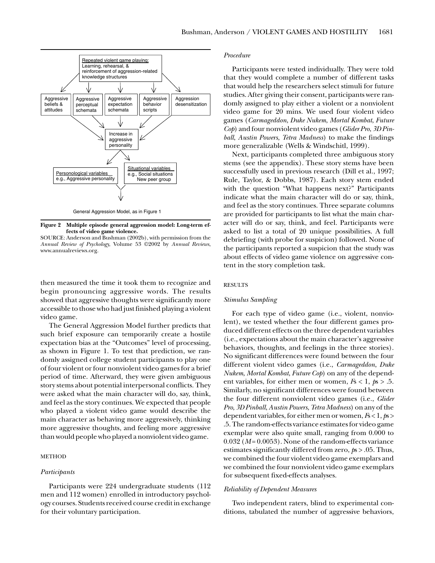

General Aggression Model, as in Figure 1

**Figure 2 Multiple episode general aggression model: Long-term effects of video game violence.**

SOURCE: Anderson and Bushman (2002b), with permission from the *Annual Review of Psychology*, Volume 53 ©2002 by *Annual Reviews*, www.annualreviews.org.

then measured the time it took them to recognize and begin pronouncing aggressive words. The results showed that aggressive thoughts were significantly more accessible to those who had just finished playing a violent video game.

The General Aggression Model further predicts that such brief exposure can temporarily create a hostile expectation bias at the "Outcomes" level of processing, as shown in Figure 1. To test that prediction, we randomly assigned college student participants to play one of four violent or four nonviolent video games for a brief period of time. Afterward, they were given ambiguous story stems about potential interpersonal conflicts. They were asked what the main character will do, say, think, and feel as the story continues. We expected that people who played a violent video game would describe the main character as behaving more aggressively, thinking more aggressive thoughts, and feeling more aggressive than would people who played a nonviolent video game.

# **METHOD**

### *Participants*

Participants were 224 undergraduate students (112 men and 112 women) enrolled in introductory psychology courses. Students received course credit in exchange for their voluntary participation.

## *Procedure*

Participants were tested individually. They were told that they would complete a number of different tasks that would help the researchers select stimuli for future studies. After giving their consent, participants were randomly assigned to play either a violent or a nonviolent video game for 20 mins. We used four violent video games (*Carmageddon*, *Duke Nukem*, *Mortal Kombat*, *Future Cop*) and four nonviolent video games (*Glider Pro*, *3D Pinball*, *Austin Powers*, *Tetra Madness*) to make the findings more generalizable (Wells & Windschitl, 1999).

Next, participants completed three ambiguous story stems (see the appendix). These story stems have been successfully used in previous research (Dill et al., 1997; Rule, Taylor, & Dobbs, 1987). Each story stem ended with the question "What happens next?" Participants indicate what the main character will do or say, think, and feel as the story continues. Three separate columns are provided for participants to list what the main character will do or say, think, and feel. Participants were asked to list a total of 20 unique possibilities. A full debriefing (with probe for suspicion) followed. None of the participants reported a suspicion that the study was about effects of video game violence on aggressive content in the story completion task.

#### RESULTS

## *Stimulus Sampling*

For each type of video game (i.e., violent, nonviolent), we tested whether the four different games produced different effects on the three dependent variables (i.e., expectations about the main character's aggressive behaviors, thoughts, and feelings in the three stories). No significant differences were found between the four different violent video games (i.e., *Carmageddon*, *Duke Nukem*, *Mortal Kombat*, *Future Cop*) on any of the dependent variables, for either men or women,  $F_s < 1$ ,  $p_s > .5$ . Similarly, no significant differences were found between the four different nonviolent video games (i.e., *Glider Pro*, *3D Pinball*, *Austin Powers*, *Tetra Madness*) on any of the dependent variables, for either men or women, *F*s < 1, *p*s > .5. The random-effects variance estimates for video game exemplar were also quite small, ranging from 0.000 to 0.032 (*M* = 0.0053). None of the random-effects variance estimates significantly differed from zero, *p*s > .05. Thus, we combined the four violent video game exemplars and we combined the four nonviolent video game exemplars for subsequent fixed-effects analyses.

### *Reliability of Dependent Measures*

Two independent raters, blind to experimental conditions, tabulated the number of aggressive behaviors,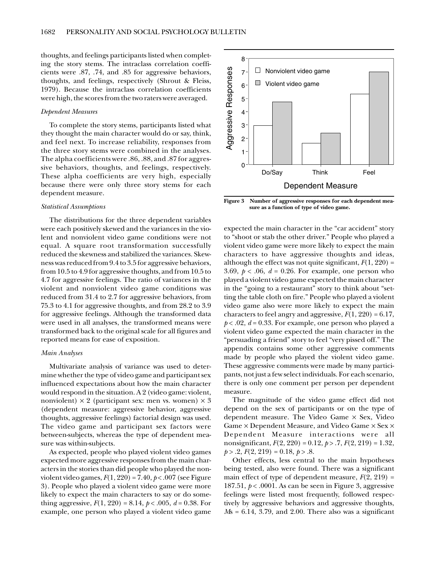thoughts, and feelings participants listed when completing the story stems. The intraclass correlation coefficients were .87, .74, and .85 for aggressive behaviors, thoughts, and feelings, respectively (Shrout & Fleiss, 1979). Because the intraclass correlation coefficients were high, the scores from the two raters were averaged.

## *Dependent Measures*

To complete the story stems, participants listed what they thought the main character would do or say, think, and feel next. To increase reliability, responses from the three story stems were combined in the analyses. The alpha coefficients were .86, .88, and .87 for aggressive behaviors, thoughts, and feelings, respectively. These alpha coefficients are very high, especially because there were only three story stems for each dependent measure.

# *Statistical Assumptions*

The distributions for the three dependent variables were each positively skewed and the variances in the violent and nonviolent video game conditions were not equal. A square root transformation successfully reduced the skewness and stabilized the variances. Skewness was reduced from 9.4 to 3.5 for aggressive behaviors, from 10.5 to 4.9 for aggressive thoughts, and from 10.5 to 4.7 for aggressive feelings. The ratio of variances in the violent and nonviolent video game conditions was reduced from 31.4 to 2.7 for aggressive behaviors, from 75.3 to 4.1 for aggressive thoughts, and from 28.2 to 3.9 for aggressive feelings. Although the transformed data were used in all analyses, the transformed means were transformed back to the original scale for all figures and reported means for ease of exposition.

#### *Main Analyses*

Multivariate analysis of variance was used to determine whether the type of video game and participant sex influenced expectations about how the main character would respond in the situation. A 2 (video game: violent, nonviolent)  $\times$  2 (participant sex: men vs. women)  $\times$  3 (dependent measure: aggressive behavior, aggressive thoughts, aggressive feelings) factorial design was used. The video game and participant sex factors were between-subjects, whereas the type of dependent measure was within-subjects.

As expected, people who played violent video games expected more aggressive responses from the main characters in the stories than did people who played the nonviolent video games, *F*(1, 220) = 7.40, *p* < .007 (see Figure 3). People who played a violent video game were more likely to expect the main characters to say or do something aggressive,  $F(1, 220) = 8.14$ ,  $p < .005$ ,  $d = 0.38$ . For example, one person who played a violent video game



**Figure 3 Number of aggressive responses for each dependent measure as a function of type of video game.**

expected the main character in the "car accident" story to "shoot or stab the other driver." People who played a violent video game were more likely to expect the main characters to have aggressive thoughts and ideas, although the effect was not quite significant,  $F(1, 220) =$ 3.69,  $p < .06$ ,  $d = 0.26$ . For example, one person who played a violent video game expected the main character in the "going to a restaurant" story to think about "setting the table cloth on fire." People who played a violent video game also were more likely to expect the main characters to feel angry and aggressive,  $F(1, 220) = 6.17$ ,  $p < .02$ ,  $d = 0.33$ . For example, one person who played a violent video game expected the main character in the "persuading a friend" story to feel "very pissed off." The appendix contains some other aggressive comments made by people who played the violent video game. These aggressive comments were made by many participants, not just a few select individuals. For each scenario, there is only one comment per person per dependent measure.

The magnitude of the video game effect did not depend on the sex of participants or on the type of dependent measure. The Video Game × Sex, Video Game × Dependent Measure, and Video Game × Sex × Dependent Measure interactions were all nonsignificant, *F*(2, 220) = 0.12, *p* > .7, *F*(2, 219) = 1.32,  $p > 0.2$ ,  $F(2, 219) = 0.18$ ,  $p > 0.8$ .

Other effects, less central to the main hypotheses being tested, also were found. There was a significant main effect of type of dependent measure,  $F(2, 219) =$ 187.51,  $p < .0001$ . As can be seen in Figure 3, aggressive feelings were listed most frequently, followed respectively by aggressive behaviors and aggressive thoughts, *M*s = 6.14, 3.79, and 2.00. There also was a significant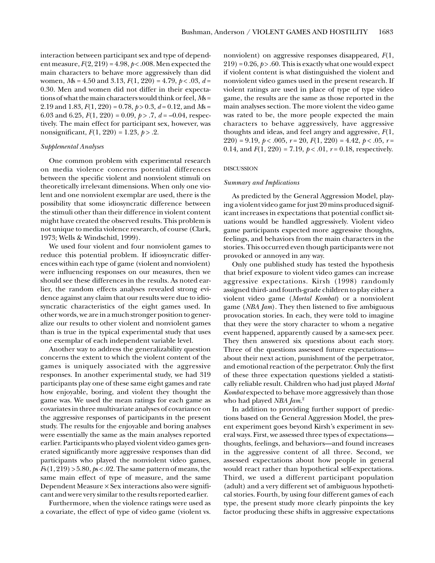interaction between participant sex and type of dependent measure,  $F(2, 219) = 4.98$ ,  $p < .008$ . Men expected the main characters to behave more aggressively than did women, *M*s = 4.50 and 3.13, *F*(1, 220) = 4.79, *p* < .03, *d* = 0.30. Men and women did not differ in their expectations of what the main characters would think or feel, *M*s = 2.19 and 1.83, *F*(1, 220) = 0.78, *p* > 0.3, *d* = 0.12, and *M*s = 6.03 and 6.25,  $F(1, 220) = 0.09$ ,  $p > .7$ ,  $d = -0.04$ , respectively. The main effect for participant sex, however, was nonsignificant, *F*(1, 220) = 1.23, *p* > .2.

## *Supplemental Analyses*

One common problem with experimental research on media violence concerns potential differences between the specific violent and nonviolent stimuli on theoretically irrelevant dimensions. When only one violent and one nonviolent exemplar are used, there is the possibility that some idiosyncratic difference between the stimuli other than their difference in violent content might have created the observed results. This problem is not unique to media violence research, of course (Clark, 1973; Wells & Windschitl, 1999).

We used four violent and four nonviolent games to reduce this potential problem. If idiosyncratic differences within each type of game (violent and nonviolent) were influencing responses on our measures, then we should see these differences in the results. As noted earlier, the random effects analyses revealed strong evidence against any claim that our results were due to idiosyncratic characteristics of the eight games used. In other words, we are in a much stronger position to generalize our results to other violent and nonviolent games than is true in the typical experimental study that uses one exemplar of each independent variable level.

Another way to address the generalizability question concerns the extent to which the violent content of the games is uniquely associated with the aggressive responses. In another experimental study, we had 319 participants play one of these same eight games and rate how enjoyable, boring, and violent they thought the game was. We used the mean ratings for each game as covariates in three multivariate analyses of covariance on the aggressive responses of participants in the present study. The results for the enjoyable and boring analyses were essentially the same as the main analyses reported earlier. Participants who played violent video games generated significantly more aggressive responses than did participants who played the nonviolent video games, *F*s(1, 219) > 5.80, *p*s < .02. The same pattern of means, the same main effect of type of measure, and the same Dependent Measure  $\times$  Sex interactions also were significant and were very similar to the results reported earlier.

Furthermore, when the violence ratings were used as a covariate, the effect of type of video game (violent vs.

nonviolent) on aggressive responses disappeared, *F*(1,  $219$ ) = 0.26,  $p > .60$ . This is exactly what one would expect if violent content is what distinguished the violent and nonviolent video games used in the present research. If violent ratings are used in place of type of type video game, the results are the same as those reported in the main analyses section. The more violent the video game was rated to be, the more people expected the main characters to behave aggressively, have aggressive thoughts and ideas, and feel angry and aggressive, *F*(1,  $220$ ) = 9.19,  $p < .005$ ,  $r = 20$ ,  $F(1, 220) = 4.42$ ,  $p < .05$ ,  $r =$ 0.14, and  $F(1, 220) = 7.19$ ,  $p < .01$ ,  $r = 0.18$ , respectively.

# DISCUSSION

## *Summary and Implications*

As predicted by the General Aggression Model, playing a violent video game for just 20 mins produced significant increases in expectations that potential conflict situations would be handled aggressively. Violent video game participants expected more aggressive thoughts, feelings, and behaviors from the main characters in the stories. This occurred even though participants were not provoked or annoyed in any way.

Only one published study has tested the hypothesis that brief exposure to violent video games can increase aggressive expectations. Kirsh (1998) randomly assigned third- and fourth-grade children to play either a violent video game (*Mortal Kombat*) or a nonviolent game (*NBA Jam*). They then listened to five ambiguous provocation stories. In each, they were told to imagine that they were the story character to whom a negative event happened, apparently caused by a same-sex peer. They then answered six questions about each story. Three of the questions assessed future expectations about their next action, punishment of the perpetrator, and emotional reaction of the perpetrator. Only the first of these three expectation questions yielded a statistically reliable result. Children who had just played *Mortal Kombat* expected to behave more aggressively than those who had played *NBA Jam*. 2

In addition to providing further support of predictions based on the General Aggression Model, the present experiment goes beyond Kirsh's experiment in several ways. First, we assessed three types of expectations thoughts, feelings, and behaviors—and found increases in the aggressive content of all three. Second, we assessed expectations about how people in general would react rather than hypothetical self-expectations. Third, we used a different participant population (adult) and a very different set of ambiguous hypothetical stories. Fourth, by using four different games of each type, the present study more clearly pinpoints the key factor producing these shifts in aggressive expectations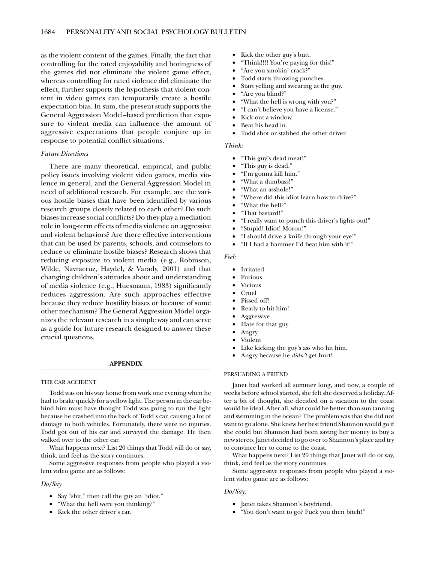as the violent content of the games. Finally, the fact that controlling for the rated enjoyability and boringness of the games did not eliminate the violent game effect, whereas controlling for rated violence did eliminate the effect, further supports the hypothesis that violent content in video games can temporarily create a hostile expectation bias. In sum, the present study supports the General Aggression Model–based prediction that exposure to violent media can influence the amount of aggressive expectations that people conjure up in response to potential conflict situations.

## *Future Directions*

There are many theoretical, empirical, and public policy issues involving violent video games, media violence in general, and the General Aggression Model in need of additional research. For example, are the various hostile biases that have been identified by various research groups closely related to each other? Do such biases increase social conflicts? Do they play a mediation role in long-term effects of media violence on aggressive and violent behaviors? Are there effective interventions that can be used by parents, schools, and counselors to reduce or eliminate hostile biases? Research shows that reducing exposure to violent media (e.g., Robinson, Wilde, Navracruz, Haydel, & Varady, 2001) and that changing children's attitudes about and understanding of media violence (e.g., Huesmann, 1983) significantly reduces aggression. Are such approaches effective because they reduce hostility biases or because of some other mechanism? The General Aggression Model organizes the relevant research in a simple way and can serve as a guide for future research designed to answer these crucial questions.

## **APPENDIX**

#### THE CAR ACCIDENT

Todd was on his way home from work one evening when he had to brake quickly for a yellow light. The person in the car behind him must have thought Todd was going to run the light because he crashed into the back of Todd's car, causing a lot of damage to both vehicles. Fortunately, there were no injuries. Todd got out of his car and surveyed the damage. He then walked over to the other car.

What happens next? List 20 things that Todd will do or say, think, and feel as the story continues.

Some aggressive responses from people who played a violent video game are as follows:

# *Do/Say*

- Say "shit," then call the guy an "idiot."
- "What the hell were you thinking?"
- Kick the other driver's car.
- Kick the other guy's butt.
- "Think!!!! You're paying for this!"
- "Are you smokin' crack?"
- Todd starts throwing punches.
- Start yelling and swearing at the guy.
- "Are you blind?"
- "What the hell is wrong with you?"
- "I can't believe you have a license."
- Kick out a window.
- Beat his head in.
- Todd shot or stabbed the other driver.

## *Think:*

- "This guy's dead meat!"
- "This guy is dead."
- "I'm gonna kill him."
- "What a dumbass!"
- "What an asshole!"
- "Where did this idiot learn how to drive?"
- "What the hell?"
- "That bastard!"
- "I really want to punch this driver's lights out!"
- "Stupid! Idiot! Moron!"
- "I should drive a knife through your eye!"
- "If I had a hammer I'd beat him with it!"

### *Feel:*

- Irritated
- **Furious**
- Vicious
- Cruel
- Pissed off!
- Ready to hit him!
- Aggressive
- Hate for that guy
- Angry
- Violent
- Like kicking the guy's ass who hit him.
- Angry because he *didn't* get hurt!

#### PERSUADING A FRIEND

Janet had worked all summer long, and now, a couple of weeks before school started, she felt she deserved a holiday. After a bit of thought, she decided on a vacation to the coast would be ideal. After all, what could be better than sun tanning and swimming in the ocean? The problem was that she did not want to go alone. She knew her best friend Shannon would go if she could but Shannon had been saving her money to buy a new stereo. Janet decided to go over to Shannon's place and try to convince her to come to the coast.

What happens next? List 20 things that Janet will do or say, think, and feel as the story continues.

Some aggressive responses from people who played a violent video game are as follows:

## *Do/Say:*

- Janet takes Shannon's boyfriend.
- "You don't want to go? Fuck you then bitch!"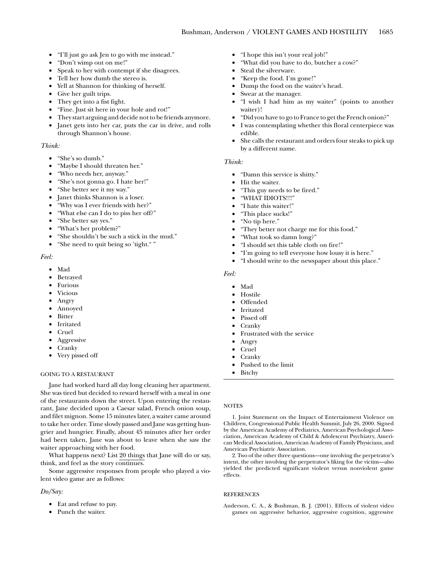- "I'll just go ask Jen to go with me instead."
- "Don't wimp out on me!"
- Speak to her with contempt if she disagrees.
- Tell her how dumb the stereo is.
- Yell at Shannon for thinking of herself.
- Give her guilt trips.
- They get into a fist fight.
- "Fine. Just sit here in your hole and rot!"
- They start arguing and decide not to be friends anymore.
- Janet gets into her car, puts the car in drive, and rolls through Shannon's house.

## *Think:*

- "She's so dumb."
- "Maybe I should threaten her."
- "Who needs her, anyway."
- "She's not gonna go. I hate her!"
- "She better see it my way."
- Janet thinks Shannon is a loser.
- "Why was I ever friends with her?"
- "What else can I do to piss her off?"
- "She better say yes."
- "What's her problem?"
- "She shouldn't be such a stick in the mud."
- "She need to quit being so 'tight.""

#### *Feel:*

- Mad
- Betrayed
- **Furious**
- Vicious
- Angry
- Annoyed
- Bitter
- **Irritated**
- Cruel
- **Aggressive**
- Cranky
- Very pissed off

#### GOING TO A RESTAURANT

Jane had worked hard all day long cleaning her apartment. She was tired but decided to reward herself with a meal in one of the restaurants down the street. Upon entering the restaurant, Jane decided upon a Caesar salad, French onion soup, and filet mignon. Some 15 minutes later, a waiter came around to take her order. Time slowly passed and Jane was getting hungrier and hungrier. Finally, about 45 minutes after her order had been taken, Jane was about to leave when she saw the waiter approaching with her food.

What happens next? List 20 things that Jane will do or say, think, and feel as the story continues.

Some aggressive responses from people who played a violent video game are as follows:

#### *Do/Say:*

- Eat and refuse to pay.
- Punch the waiter.
- "I hope this isn't your real job!"
- "What did you have to do, butcher a cow?"
- Steal the silverware.
- "Keep the food. I'm gone!"
- Dump the food on the waiter's head.
- Swear at the manager.
- "I wish I had him as my waiter" (points to another waiter)!
- "Did you have to go to France to get the French onion?"
- I was contemplating whether this floral centerpiece was edible.
- She calls the restaurant and orders four steaks to pick up by a different name.

## *Think:*

- "Damn this service is shitty."
- Hit the waiter.
- "This guy needs to be fired."
- "WHAT IDIOTS!!!"
- "I hate this waiter!"
- "This place sucks!"
- "No tip here."
- "They better not charge me for this food."
- "What took so damn long?"
- "I should set this table cloth on fire!"
- "I'm going to tell everyone how lousy it is here."
- "I should write to the newspaper about this place."

## *Feel:*

- Mad
- Hostile
- Offended
- **Irritated**
- Pissed off
- Cranky
- Frustrated with the service
- Angry
- Cruel
- Cranky
- Pushed to the limit
- Bitchy

# **NOTES**

1. Joint Statement on the Impact of Entertainment Violence on Children, Congressional Public Health Summit, July 26, 2000. Signed by the American Academy of Pediatrics, American Psychological Association, American Academy of Child & Adolescent Psychiatry, American Medical Association, American Academy of Family Physicians, and American Psychiatric Association.

2. Two of the other three questions—one involving the perpetrator's intent, the other involving the perpetrator's liking for the victim—also yielded the predicted significant violent versus nonviolent game effects.

#### **REFERENCES**

Anderson, C. A., & Bushman, B. J. (2001). Effects of violent video games on aggressive behavior, aggressive cognition, aggressive